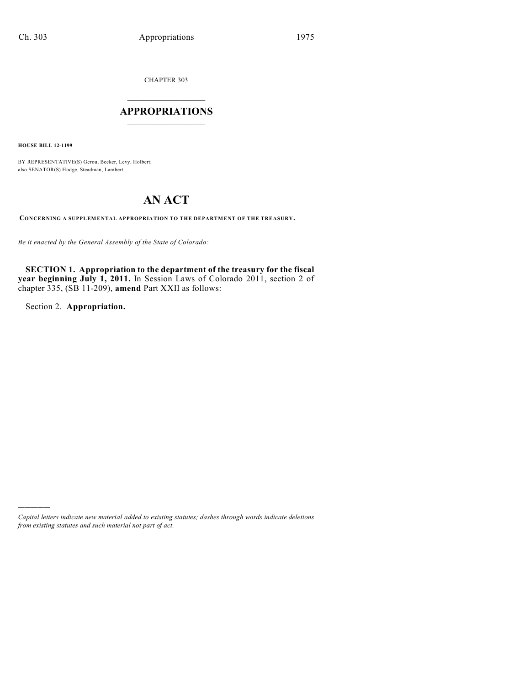CHAPTER 303

## $\overline{\phantom{a}}$  . The set of the set of the set of the set of the set of the set of the set of the set of the set of the set of the set of the set of the set of the set of the set of the set of the set of the set of the set o **APPROPRIATIONS**  $\_$   $\_$   $\_$   $\_$   $\_$   $\_$   $\_$   $\_$

**HOUSE BILL 12-1199**

BY REPRESENTATIVE(S) Gerou, Becker, Levy, Holbert; also SENATOR(S) Hodge, Steadman, Lambert.

# **AN ACT**

**CONCERNING A SUPPLEMENTAL APPROPRIATION TO THE DEPARTMENT OF THE TREASURY.**

*Be it enacted by the General Assembly of the State of Colorado:*

**SECTION 1. Appropriation to the department of the treasury for the fiscal year beginning July 1, 2011.** In Session Laws of Colorado 2011, section 2 of chapter 335, (SB 11-209), **amend** Part XXII as follows:

Section 2. **Appropriation.**

)))))

*Capital letters indicate new material added to existing statutes; dashes through words indicate deletions from existing statutes and such material not part of act.*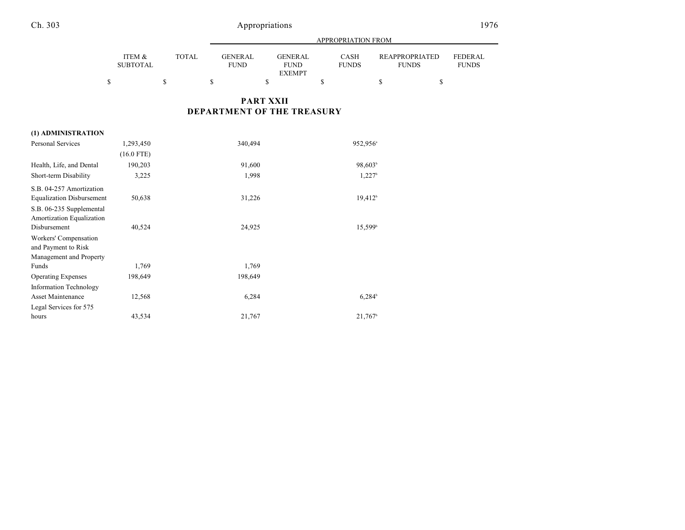## Ch. 303 Appropriations 1976

|   |                           |       | APPROPRIATION FROM      |  |                               |  |                             |                                |  |                          |
|---|---------------------------|-------|-------------------------|--|-------------------------------|--|-----------------------------|--------------------------------|--|--------------------------|
|   | ITEM &<br><b>SUBTOTAL</b> | TOTAL | GENER AL<br><b>FUND</b> |  | <b>GENERAL</b><br><b>FUND</b> |  | <b>CASH</b><br><b>FUNDS</b> | REAPPROPRIATED<br><b>FUNDS</b> |  | FEDERAL.<br><b>FUNDS</b> |
|   |                           |       |                         |  | <b>EXEMPT</b>                 |  |                             |                                |  |                          |
| S |                           |       |                         |  |                               |  |                             |                                |  |                          |

### **PART XXII DEPARTMENT OF THE TREASURY**

| (1) ADMINISTRATION               |              |         |                       |
|----------------------------------|--------------|---------|-----------------------|
| <b>Personal Services</b>         | 1,293,450    | 340,494 | 952,956 <sup>a</sup>  |
|                                  | $(16.0$ FTE) |         |                       |
| Health, Life, and Dental         | 190,203      | 91,600  | 98,603 <sup>b</sup>   |
| Short-term Disability            | 3,225        | 1,998   | 1,227 <sup>b</sup>    |
| S.B. 04-257 Amortization         |              |         |                       |
| <b>Equalization Disbursement</b> | 50,638       | 31,226  | 19.412 <sup>b</sup>   |
| S.B. 06-235 Supplemental         |              |         |                       |
| Amortization Equalization        |              |         |                       |
| Disbursement                     | 40,524       | 24,925  | 15.599 <sup>b</sup>   |
| Workers' Compensation            |              |         |                       |
| and Payment to Risk              |              |         |                       |
| Management and Property          |              |         |                       |
| Funds                            | 1,769        | 1,769   |                       |
| <b>Operating Expenses</b>        | 198,649      | 198,649 |                       |
| <b>Information Technology</b>    |              |         |                       |
| <b>Asset Maintenance</b>         | 12,568       | 6,284   | $6,284^{\rm b}$       |
| Legal Services for 575           |              |         |                       |
| hours                            | 43,534       | 21,767  | $21,767$ <sup>b</sup> |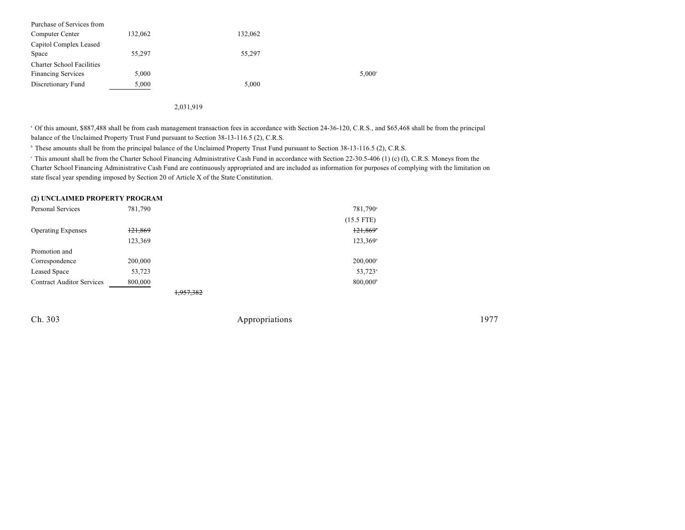| Purchase of Services from        |         |         |                 |
|----------------------------------|---------|---------|-----------------|
| Computer Center                  | 132,062 | 132,062 |                 |
| Capitol Complex Leased           |         |         |                 |
| Space                            | 55,297  | 55,297  |                 |
| <b>Charter School Facilities</b> |         |         |                 |
| <b>Financing Services</b>        | 5,000   |         | $5,000^{\circ}$ |
| Discretionary Fund               | 5,000   | 5,000   |                 |
|                                  |         |         |                 |

2,031,919

<sup>a</sup> Of this amount, \$887,488 shall be from cash management transaction fees in accordance with Section 24-36-120, C.R.S., and \$65,468 shall be from the principal balance of the Unclaimed Property Trust Fund pursuant to Section 38-13-116.5 (2), C.R.S.

<sup>b</sup> These amounts shall be from the principal balance of the Unclaimed Property Trust Fund pursuant to Section 38-13-116.5 (2), C.R.S.

<sup>e</sup> This amount shall be from the Charter School Financing Administrative Cash Fund in accordance with Section 22-30.5-406 (1) (c) (I), C.R.S. Moneys from the Charter School Financing Administrative Cash Fund are continuously appropriated and are included as information for purposes of complying with the limitation on state fiscal year spending imposed by Section 20 of Article X of the State Constitution.

#### **(2) UNCLAIMED PROPERTY PROGRAM**

| Personal Services                | 781,790 | 781,790 <sup>a</sup>   |
|----------------------------------|---------|------------------------|
|                                  |         | $(15.5$ FTE)           |
| <b>Operating Expenses</b>        | 121,869 | $121,869$ <sup>*</sup> |
|                                  | 123,369 | $123,369^{\circ}$      |
| Promotion and                    |         |                        |
| Correspondence                   | 200,000 | $200,000$ <sup>a</sup> |
| <b>Leased Space</b>              | 53,723  | 53,723 <sup>a</sup>    |
| <b>Contract Auditor Services</b> | 800,000 | 800,000 <sup>b</sup>   |
|                                  |         | 1.05500                |

1,957,382

Ch. 303 Appropriations 1977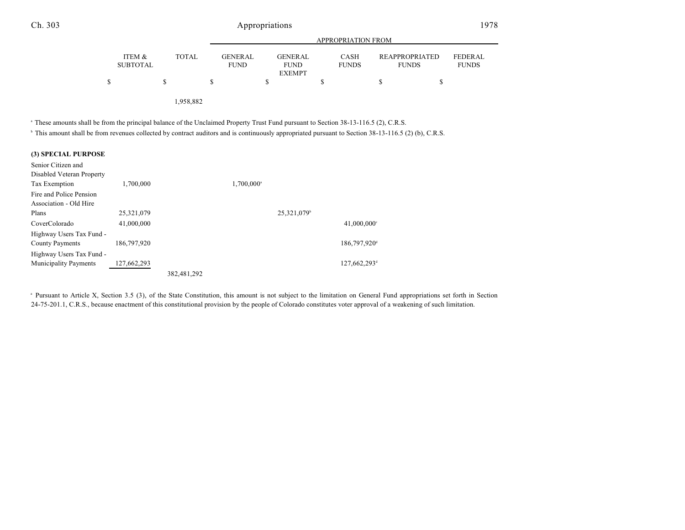### Ch. 303 Appropriations 1978

|   |                           |              |                               | APPROPRIATION FROM                      |                             |                                       |                                |  |  |
|---|---------------------------|--------------|-------------------------------|-----------------------------------------|-----------------------------|---------------------------------------|--------------------------------|--|--|
|   | ITEM &<br><b>SUBTOTAL</b> | <b>TOTAL</b> | <b>GENERAL</b><br><b>FUND</b> | GENERAL<br><b>FUND</b><br><b>EXEMPT</b> | <b>CASH</b><br><b>FUNDS</b> | <b>REAPPROPRIATED</b><br><b>FUNDS</b> | <b>FEDERAL</b><br><b>FUNDS</b> |  |  |
| Ŝ |                           | S            |                               | C                                       |                             | S                                     |                                |  |  |
|   |                           |              |                               |                                         |                             |                                       |                                |  |  |

1,958,882

<sup>a</sup> These amounts shall be from the principal balance of the Unclaimed Property Trust Fund pursuant to Section 38-13-116.5 (2), C.R.S.

<sup>b</sup> This amount shall be from revenues collected by contract auditors and is continuously appropriated pursuant to Section 38-13-116.5 (2) (b), C.R.S.

#### **(3) SPECIAL PURPOSE**

| Senior Citizen and           |             |             |                        |                         |                           |
|------------------------------|-------------|-------------|------------------------|-------------------------|---------------------------|
| Disabled Veteran Property    |             |             |                        |                         |                           |
| Tax Exemption                | 1,700,000   |             | 1,700,000 <sup>a</sup> |                         |                           |
| Fire and Police Pension      |             |             |                        |                         |                           |
| Association - Old Hire       |             |             |                        |                         |                           |
| Plans                        | 25,321,079  |             |                        | 25,321,079 <sup>b</sup> |                           |
| CoverColorado                | 41,000,000  |             |                        |                         | $41,000,000$ <sup>c</sup> |
| Highway Users Tax Fund -     |             |             |                        |                         |                           |
| <b>County Payments</b>       | 186,797,920 |             |                        |                         | 186,797,920 <sup>d</sup>  |
| Highway Users Tax Fund -     |             |             |                        |                         |                           |
| <b>Municipality Payments</b> | 127,662,293 |             |                        |                         | 127,662,293 <sup>d</sup>  |
|                              |             | 382,481,292 |                        |                         |                           |

<sup>a</sup> Pursuant to Article X, Section 3.5 (3), of the State Constitution, this amount is not subject to the limitation on General Fund appropriations set forth in Section 24-75-201.1, C.R.S., because enactment of this constitutional provision by the people of Colorado constitutes voter approval of a weakening of such limitation.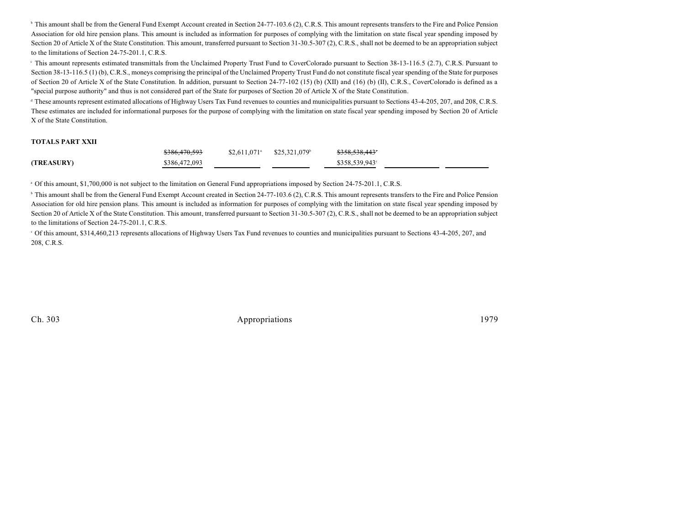<sup>b</sup> This amount shall be from the General Fund Exempt Account created in Section 24-77-103.6 (2), C.R.S. This amount represents transfers to the Fire and Police Pension Association for old hire pension plans. This amount is included as information for purposes of complying with the limitation on state fiscal year spending imposed by Section 20 of Article X of the State Constitution. This amount, transferred pursuant to Section 31-30.5-307 (2), C.R.S., shall not be deemed to be an appropriation subject to the limitations of Section 24-75-201.1, C.R.S.

<sup>e</sup> This amount represents estimated transmittals from the Unclaimed Property Trust Fund to CoverColorado pursuant to Section 38-13-116.5 (2.7), C.R.S. Pursuant to Section 38-13-116.5 (1) (b), C.R.S., moneys comprising the principal of the Unclaimed Property Trust Fund do not constitute fiscal year spending of the State for purposes of Section 20 of Article X of the State Constitution. In addition, pursuant to Section 24-77-102 (15) (b) (XII) and (16) (b) (II), C.R.S., CoverColorado is defined as a "special purpose authority" and thus is not considered part of the State for purposes of Section 20 of Article X of the State Constitution.

<sup>d</sup> These amounts represent estimated allocations of Highway Users Tax Fund revenues to counties and municipalities pursuant to Sections 43-4-205, 207, and 208, C.R.S. These estimates are included for informational purposes for the purpose of complying with the limitation on state fiscal year spending imposed by Section 20 of Article X of the State Constitution.

#### **TOTALS PART XXII**

|            | <del>\$386,470,593</del> | $$2,611,071^{\circ}$ $$25,321,079^{\circ}$ | <del>\$358,538,443</del> ° |
|------------|--------------------------|--------------------------------------------|----------------------------|
| (TREASURY) | \$386,472,093            |                                            | $$358.539.943^{\circ}$     |

<sup>a</sup> Of this amount, \$1,700,000 is not subject to the limitation on General Fund appropriations imposed by Section 24-75-201.1, C.R.S.

<sup>b</sup> This amount shall be from the General Fund Exempt Account created in Section 24-77-103.6 (2), C.R.S. This amount represents transfers to the Fire and Police Pension Association for old hire pension plans. This amount is included as information for purposes of complying with the limitation on state fiscal year spending imposed by Section 20 of Article X of the State Constitution. This amount, transferred pursuant to Section 31-30.5-307 (2), C.R.S., shall not be deemed to be an appropriation subject to the limitations of Section 24-75-201.1, C.R.S.

 Of this amount, \$314,460,213 represents allocations of Highway Users Tax Fund revenues to counties and municipalities pursuant to Sections 43-4-205, 207, and <sup>c</sup> 208, C.R.S.

Ch. 303 Appropriations 1979